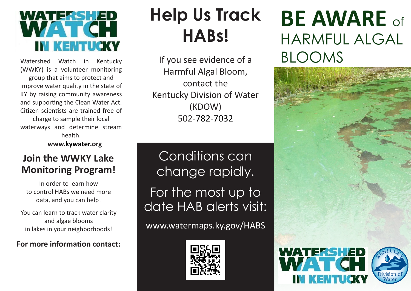

Watershed Watch in Kentucky (WWKY) is a volunteer monitoring group that aims to protect and improve water quality in the state of KY by raising community awareness and supporting the Clean Water Act. Citizen scientists are trained free of charge to sample their local waterways and determine stream health.

**www.kywater.org**

#### **Join the WWKY Lake Monitoring Program!**

In order to learn how to control HABs we need more data, and you can help!

You can learn to track water clarity and algae blooms in lakes in your neighborhoods!

#### **For more information contact:**

## **Help Us Track HABs!**

If you see evidence of a Harmful Algal Bloom, contact the Kentucky Division of Water (KDOW) 502‐782‐7032

Conditions can change rapidly.

For the most up to date HAB alerts visit:

www.watermaps.ky.gov/HABS



## **BE AWARE** of HARMFUL ALGAL BLOOMS